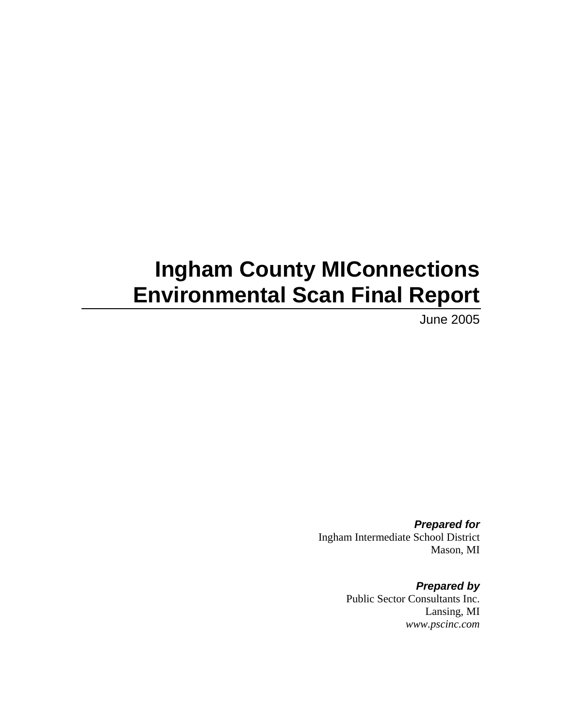# **Ingham County MIConnections Environmental Scan Final Report**

June 2005

*Prepared for*  Ingham Intermediate School District Mason, MI

> *Prepared by*  Public Sector Consultants Inc. Lansing, MI *www.pscinc.com*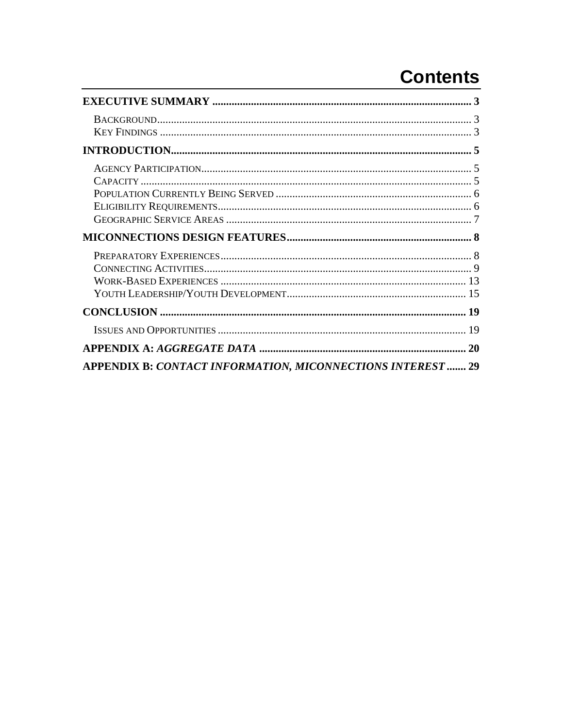# **Contents**

| <b>APPENDIX B: CONTACT INFORMATION, MICONNECTIONS INTEREST  29</b> |  |
|--------------------------------------------------------------------|--|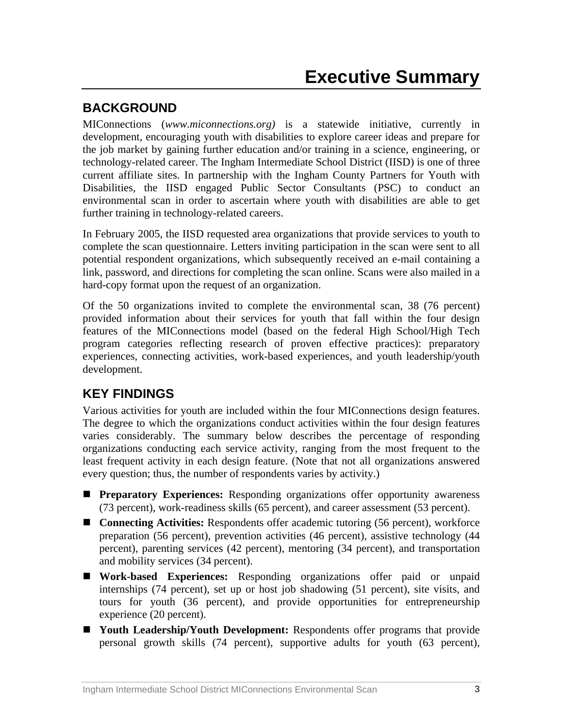# <span id="page-2-0"></span>**BACKGROUND**

MIConnections (*www.miconnections.org)* is a statewide initiative, currently in development, encouraging youth with disabilities to explore career ideas and prepare for the job market by gaining further education and/or training in a science, engineering, or technology-related career. The Ingham Intermediate School District (IISD) is one of three current affiliate sites. In partnership with the Ingham County Partners for Youth with Disabilities, the IISD engaged Public Sector Consultants (PSC) to conduct an environmental scan in order to ascertain where youth with disabilities are able to get further training in technology-related careers.

In February 2005, the IISD requested area organizations that provide services to youth to complete the scan questionnaire. Letters inviting participation in the scan were sent to all potential respondent organizations, which subsequently received an e-mail containing a link, password, and directions for completing the scan online. Scans were also mailed in a hard-copy format upon the request of an organization.

Of the 50 organizations invited to complete the environmental scan, 38 (76 percent) provided information about their services for youth that fall within the four design features of the MIConnections model (based on the federal High School/High Tech program categories reflecting research of proven effective practices): preparatory experiences, connecting activities, work-based experiences, and youth leadership/youth development.

# **KEY FINDINGS**

Various activities for youth are included within the four MIConnections design features. The degree to which the organizations conduct activities within the four design features varies considerably. The summary below describes the percentage of responding organizations conducting each service activity, ranging from the most frequent to the least frequent activity in each design feature. (Note that not all organizations answered every question; thus, the number of respondents varies by activity.)

- **Preparatory Experiences:** Responding organizations offer opportunity awareness (73 percent), work-readiness skills (65 percent), and career assessment (53 percent).
- **Connecting Activities:** Respondents offer academic tutoring (56 percent), workforce preparation (56 percent), prevention activities (46 percent), assistive technology (44 percent), parenting services (42 percent), mentoring (34 percent), and transportation and mobility services (34 percent).
- **Work-based Experiences:** Responding organizations offer paid or unpaid internships (74 percent), set up or host job shadowing (51 percent), site visits, and tours for youth (36 percent), and provide opportunities for entrepreneurship experience (20 percent).
- **Youth Leadership/Youth Development:** Respondents offer programs that provide personal growth skills (74 percent), supportive adults for youth (63 percent),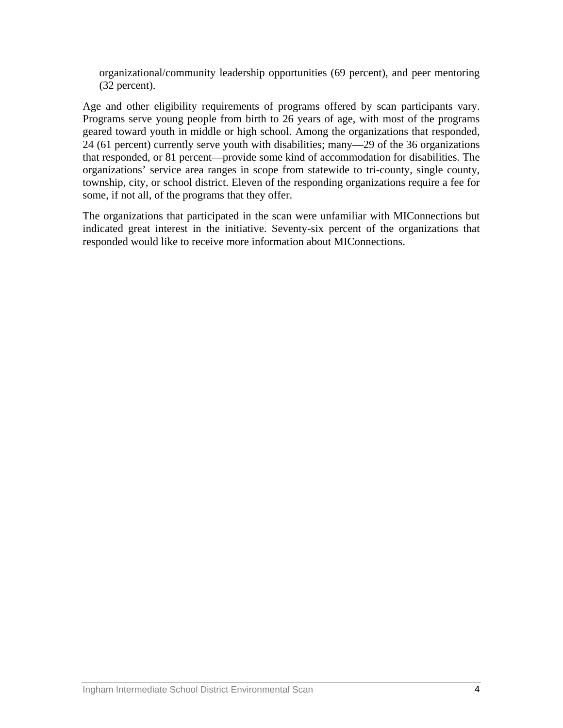organizational/community leadership opportunities (69 percent), and peer mentoring (32 percent).

Age and other eligibility requirements of programs offered by scan participants vary. Programs serve young people from birth to 26 years of age, with most of the programs geared toward youth in middle or high school. Among the organizations that responded, 24 (61 percent) currently serve youth with disabilities; many—29 of the 36 organizations that responded, or 81 percent—provide some kind of accommodation for disabilities. The organizations' service area ranges in scope from statewide to tri-county, single county, township, city, or school district. Eleven of the responding organizations require a fee for some, if not all, of the programs that they offer.

The organizations that participated in the scan were unfamiliar with MIConnections but indicated great interest in the initiative. Seventy-six percent of the organizations that responded would like to receive more information about MIConnections.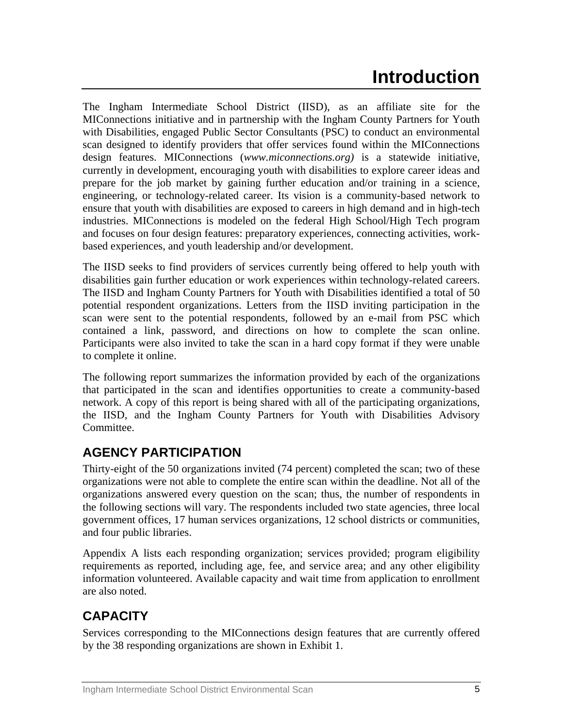# **Introduction**

<span id="page-4-0"></span>The Ingham Intermediate School District (IISD), as an affiliate site for the MIConnections initiative and in partnership with the Ingham County Partners for Youth with Disabilities, engaged Public Sector Consultants (PSC) to conduct an environmental scan designed to identify providers that offer services found within the MIConnections design features. MIConnections (*www.miconnections.org)* is a statewide initiative, currently in development, encouraging youth with disabilities to explore career ideas and prepare for the job market by gaining further education and/or training in a science, engineering, or technology-related career. Its vision is a community-based network to ensure that youth with disabilities are exposed to careers in high demand and in high-tech industries. MIConnections is modeled on the federal High School/High Tech program and focuses on four design features: preparatory experiences, connecting activities, workbased experiences, and youth leadership and/or development.

The IISD seeks to find providers of services currently being offered to help youth with disabilities gain further education or work experiences within technology-related careers. The IISD and Ingham County Partners for Youth with Disabilities identified a total of 50 potential respondent organizations. Letters from the IISD inviting participation in the scan were sent to the potential respondents, followed by an e-mail from PSC which contained a link, password, and directions on how to complete the scan online. Participants were also invited to take the scan in a hard copy format if they were unable to complete it online.

The following report summarizes the information provided by each of the organizations that participated in the scan and identifies opportunities to create a community-based network. A copy of this report is being shared with all of the participating organizations, the IISD, and the Ingham County Partners for Youth with Disabilities Advisory Committee.

# **AGENCY PARTICIPATION**

Thirty-eight of the 50 organizations invited (74 percent) completed the scan; two of these organizations were not able to complete the entire scan within the deadline. Not all of the organizations answered every question on the scan; thus, the number of respondents in the following sections will vary. The respondents included two state agencies, three local government offices, 17 human services organizations, 12 school districts or communities, and four public libraries.

Appendix A lists each responding organization; services provided; program eligibility requirements as reported, including age, fee, and service area; and any other eligibility information volunteered. Available capacity and wait time from application to enrollment are also noted.

# **CAPACITY**

Services corresponding to the MIConnections design features that are currently offered by the 38 responding organizations are shown in Exhibit 1.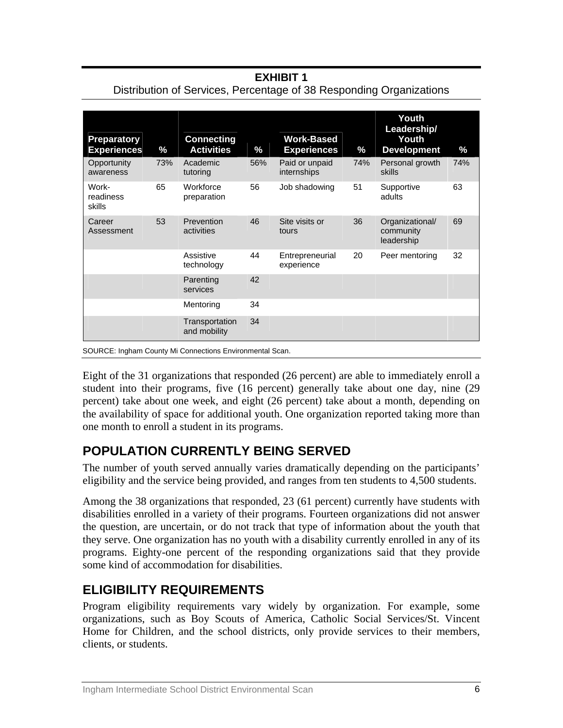<span id="page-5-0"></span>

| <b>Preparatory</b><br><b>Experiences</b> | %   | <b>Connecting</b><br><b>Activities</b> | %   | <b>Work-Based</b><br><b>Experiences</b> | %   | Youth<br>Leadership/<br>Youth<br><b>Development</b> | $\%$ |
|------------------------------------------|-----|----------------------------------------|-----|-----------------------------------------|-----|-----------------------------------------------------|------|
| Opportunity<br>awareness                 | 73% | Academic<br>tutoring                   | 56% | Paid or unpaid<br>internships           | 74% | Personal growth<br>skills                           | 74%  |
| Work-<br>readiness<br>skills             | 65  | Workforce<br>preparation               | 56  | Job shadowing                           | 51  | Supportive<br>adults                                | 63   |
| Career<br>Assessment                     | 53  | Prevention<br>activities               | 46  | Site visits or<br>tours                 | 36  | Organizational/<br>community<br>leadership          | 69   |
|                                          |     | Assistive<br>technology                | 44  | Entrepreneurial<br>experience           | 20  | Peer mentoring                                      | 32   |
|                                          |     | Parenting<br>services                  | 42  |                                         |     |                                                     |      |
|                                          |     | Mentoring                              | 34  |                                         |     |                                                     |      |
|                                          |     | Transportation<br>and mobility         | 34  |                                         |     |                                                     |      |

Distribution of Services, Percentage of 38 Responding Organizations

SOURCE: Ingham County Mi Connections Environmental Scan.

Eight of the 31 organizations that responded (26 percent) are able to immediately enroll a student into their programs, five (16 percent) generally take about one day, nine (29 percent) take about one week, and eight (26 percent) take about a month, depending on the availability of space for additional youth. One organization reported taking more than one month to enroll a student in its programs.

# **POPULATION CURRENTLY BEING SERVED**

The number of youth served annually varies dramatically depending on the participants' eligibility and the service being provided, and ranges from ten students to 4,500 students.

Among the 38 organizations that responded, 23 (61 percent) currently have students with disabilities enrolled in a variety of their programs. Fourteen organizations did not answer the question, are uncertain, or do not track that type of information about the youth that they serve. One organization has no youth with a disability currently enrolled in any of its programs. Eighty-one percent of the responding organizations said that they provide some kind of accommodation for disabilities.

# **ELIGIBILITY REQUIREMENTS**

Program eligibility requirements vary widely by organization. For example, some organizations, such as Boy Scouts of America, Catholic Social Services/St. Vincent Home for Children, and the school districts, only provide services to their members, clients, or students.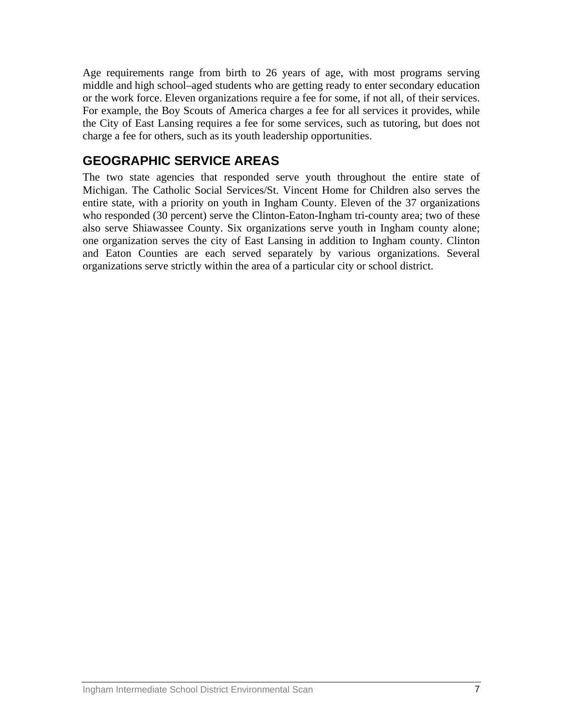<span id="page-6-0"></span>Age requirements range from birth to 26 years of age, with most programs serving middle and high school–aged students who are getting ready to enter secondary education or the work force. Eleven organizations require a fee for some, if not all, of their services. For example, the Boy Scouts of America charges a fee for all services it provides, while the City of East Lansing requires a fee for some services, such as tutoring, but does not charge a fee for others, such as its youth leadership opportunities.

# **GEOGRAPHIC SERVICE AREAS**

The two state agencies that responded serve youth throughout the entire state of Michigan. The Catholic Social Services/St. Vincent Home for Children also serves the entire state, with a priority on youth in Ingham County. Eleven of the 37 organizations who responded (30 percent) serve the Clinton-Eaton-Ingham tri-county area; two of these also serve Shiawassee County. Six organizations serve youth in Ingham county alone; one organization serves the city of East Lansing in addition to Ingham county. Clinton and Eaton Counties are each served separately by various organizations. Several organizations serve strictly within the area of a particular city or school district.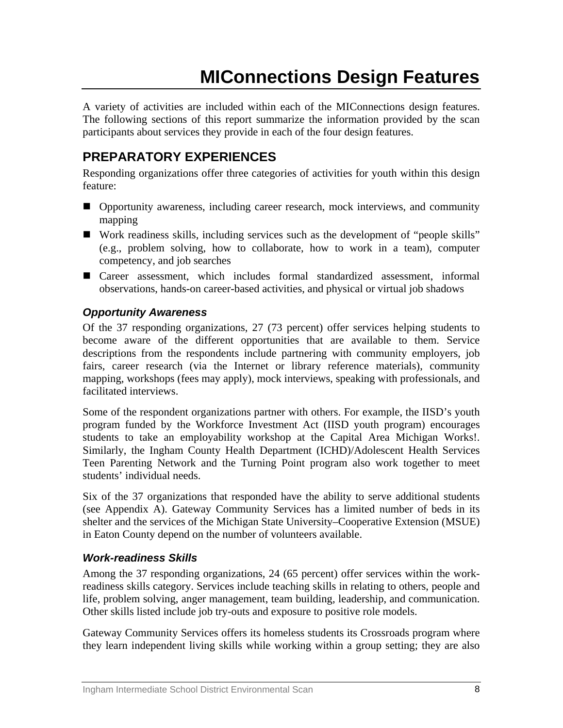# **MIConnections Design Features**

<span id="page-7-0"></span>A variety of activities are included within each of the MIConnections design features. The following sections of this report summarize the information provided by the scan participants about services they provide in each of the four design features.

# **PREPARATORY EXPERIENCES**

Responding organizations offer three categories of activities for youth within this design feature:

- Opportunity awareness, including career research, mock interviews, and community mapping
- Work readiness skills, including services such as the development of "people skills" (e.g., problem solving, how to collaborate, how to work in a team), computer competency, and job searches
- Career assessment, which includes formal standardized assessment, informal observations, hands-on career-based activities, and physical or virtual job shadows

### *Opportunity Awareness*

Of the 37 responding organizations, 27 (73 percent) offer services helping students to become aware of the different opportunities that are available to them. Service descriptions from the respondents include partnering with community employers, job fairs, career research (via the Internet or library reference materials), community mapping, workshops (fees may apply), mock interviews, speaking with professionals, and facilitated interviews.

Some of the respondent organizations partner with others. For example, the IISD's youth program funded by the Workforce Investment Act (IISD youth program) encourages students to take an employability workshop at the Capital Area Michigan Works!. Similarly, the Ingham County Health Department (ICHD)/Adolescent Health Services Teen Parenting Network and the Turning Point program also work together to meet students' individual needs.

Six of the 37 organizations that responded have the ability to serve additional students (see Appendix A). Gateway Community Services has a limited number of beds in its shelter and the services of the Michigan State University–Cooperative Extension (MSUE) in Eaton County depend on the number of volunteers available.

### *Work-readiness Skills*

Among the 37 responding organizations, 24 (65 percent) offer services within the workreadiness skills category. Services include teaching skills in relating to others, people and life, problem solving, anger management, team building, leadership, and communication. Other skills listed include job try-outs and exposure to positive role models.

Gateway Community Services offers its homeless students its Crossroads program where they learn independent living skills while working within a group setting; they are also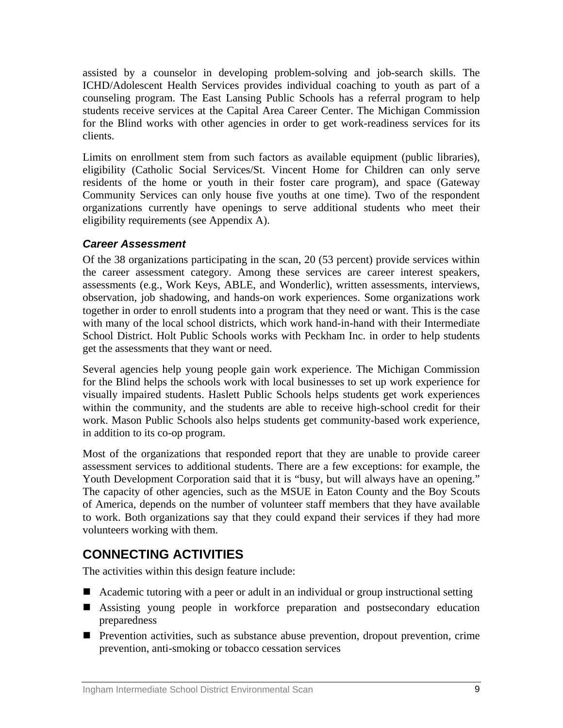<span id="page-8-0"></span>assisted by a counselor in developing problem-solving and job-search skills. The ICHD/Adolescent Health Services provides individual coaching to youth as part of a counseling program. The East Lansing Public Schools has a referral program to help students receive services at the Capital Area Career Center. The Michigan Commission for the Blind works with other agencies in order to get work-readiness services for its clients.

Limits on enrollment stem from such factors as available equipment (public libraries), eligibility (Catholic Social Services/St. Vincent Home for Children can only serve residents of the home or youth in their foster care program), and space (Gateway Community Services can only house five youths at one time). Two of the respondent organizations currently have openings to serve additional students who meet their eligibility requirements (see Appendix A).

### *Career Assessment*

Of the 38 organizations participating in the scan, 20 (53 percent) provide services within the career assessment category. Among these services are career interest speakers, assessments (e.g., Work Keys, ABLE, and Wonderlic), written assessments, interviews, observation, job shadowing, and hands-on work experiences. Some organizations work together in order to enroll students into a program that they need or want. This is the case with many of the local school districts, which work hand-in-hand with their Intermediate School District. Holt Public Schools works with Peckham Inc. in order to help students get the assessments that they want or need.

Several agencies help young people gain work experience. The Michigan Commission for the Blind helps the schools work with local businesses to set up work experience for visually impaired students. Haslett Public Schools helps students get work experiences within the community, and the students are able to receive high-school credit for their work. Mason Public Schools also helps students get community-based work experience, in addition to its co-op program.

Most of the organizations that responded report that they are unable to provide career assessment services to additional students. There are a few exceptions: for example, the Youth Development Corporation said that it is "busy, but will always have an opening." The capacity of other agencies, such as the MSUE in Eaton County and the Boy Scouts of America, depends on the number of volunteer staff members that they have available to work. Both organizations say that they could expand their services if they had more volunteers working with them.

# **CONNECTING ACTIVITIES**

The activities within this design feature include:

- Academic tutoring with a peer or adult in an individual or group instructional setting
- Assisting young people in workforce preparation and postsecondary education preparedness
- Prevention activities, such as substance abuse prevention, dropout prevention, crime prevention, anti-smoking or tobacco cessation services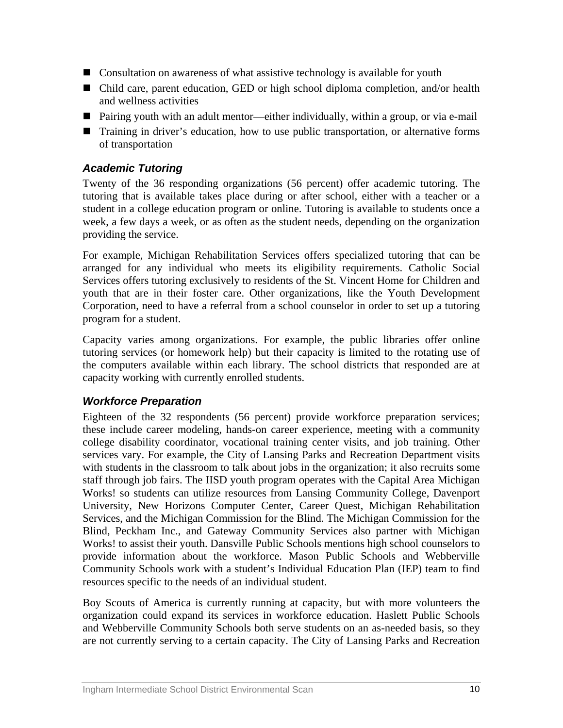- Consultation on awareness of what assistive technology is available for youth
- Child care, parent education, GED or high school diploma completion, and/or health and wellness activities
- Pairing youth with an adult mentor—either individually, within a group, or via e-mail
- Training in driver's education, how to use public transportation, or alternative forms of transportation

### *Academic Tutoring*

Twenty of the 36 responding organizations (56 percent) offer academic tutoring. The tutoring that is available takes place during or after school, either with a teacher or a student in a college education program or online. Tutoring is available to students once a week, a few days a week, or as often as the student needs, depending on the organization providing the service.

For example, Michigan Rehabilitation Services offers specialized tutoring that can be arranged for any individual who meets its eligibility requirements. Catholic Social Services offers tutoring exclusively to residents of the St. Vincent Home for Children and youth that are in their foster care. Other organizations, like the Youth Development Corporation, need to have a referral from a school counselor in order to set up a tutoring program for a student.

Capacity varies among organizations. For example, the public libraries offer online tutoring services (or homework help) but their capacity is limited to the rotating use of the computers available within each library. The school districts that responded are at capacity working with currently enrolled students.

### *Workforce Preparation*

Eighteen of the 32 respondents (56 percent) provide workforce preparation services; these include career modeling, hands-on career experience, meeting with a community college disability coordinator, vocational training center visits, and job training. Other services vary. For example, the City of Lansing Parks and Recreation Department visits with students in the classroom to talk about jobs in the organization; it also recruits some staff through job fairs. The IISD youth program operates with the Capital Area Michigan Works! so students can utilize resources from Lansing Community College, Davenport University, New Horizons Computer Center, Career Quest, Michigan Rehabilitation Services, and the Michigan Commission for the Blind. The Michigan Commission for the Blind, Peckham Inc., and Gateway Community Services also partner with Michigan Works! to assist their youth. Dansville Public Schools mentions high school counselors to provide information about the workforce. Mason Public Schools and Webberville Community Schools work with a student's Individual Education Plan (IEP) team to find resources specific to the needs of an individual student.

Boy Scouts of America is currently running at capacity, but with more volunteers the organization could expand its services in workforce education. Haslett Public Schools and Webberville Community Schools both serve students on an as-needed basis, so they are not currently serving to a certain capacity. The City of Lansing Parks and Recreation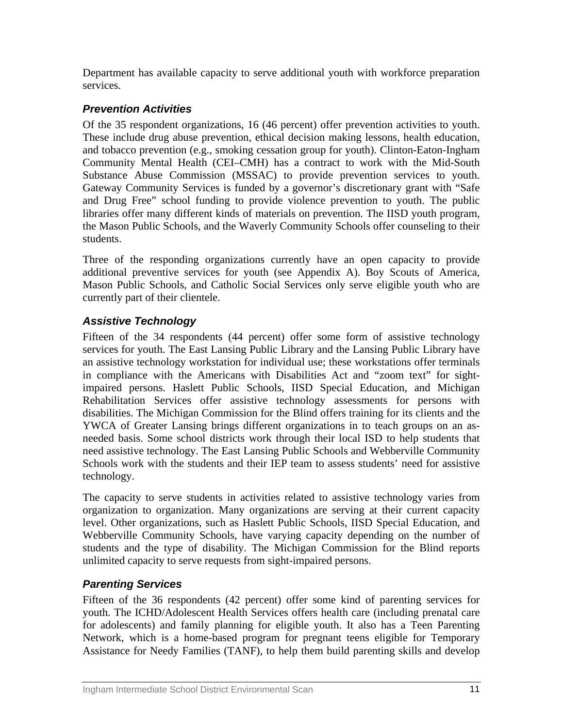Department has available capacity to serve additional youth with workforce preparation services.

# *Prevention Activities*

Of the 35 respondent organizations, 16 (46 percent) offer prevention activities to youth. These include drug abuse prevention, ethical decision making lessons, health education, and tobacco prevention (e.g., smoking cessation group for youth). Clinton-Eaton-Ingham Community Mental Health (CEI–CMH) has a contract to work with the Mid-South Substance Abuse Commission (MSSAC) to provide prevention services to youth. Gateway Community Services is funded by a governor's discretionary grant with "Safe and Drug Free" school funding to provide violence prevention to youth. The public libraries offer many different kinds of materials on prevention. The IISD youth program, the Mason Public Schools, and the Waverly Community Schools offer counseling to their students.

Three of the responding organizations currently have an open capacity to provide additional preventive services for youth (see Appendix A). Boy Scouts of America, Mason Public Schools, and Catholic Social Services only serve eligible youth who are currently part of their clientele.

# *Assistive Technology*

Fifteen of the 34 respondents (44 percent) offer some form of assistive technology services for youth. The East Lansing Public Library and the Lansing Public Library have an assistive technology workstation for individual use; these workstations offer terminals in compliance with the Americans with Disabilities Act and "zoom text" for sightimpaired persons. Haslett Public Schools, IISD Special Education, and Michigan Rehabilitation Services offer assistive technology assessments for persons with disabilities. The Michigan Commission for the Blind offers training for its clients and the YWCA of Greater Lansing brings different organizations in to teach groups on an asneeded basis. Some school districts work through their local ISD to help students that need assistive technology. The East Lansing Public Schools and Webberville Community Schools work with the students and their IEP team to assess students' need for assistive technology.

The capacity to serve students in activities related to assistive technology varies from organization to organization. Many organizations are serving at their current capacity level. Other organizations, such as Haslett Public Schools, IISD Special Education, and Webberville Community Schools, have varying capacity depending on the number of students and the type of disability. The Michigan Commission for the Blind reports unlimited capacity to serve requests from sight-impaired persons.

# *Parenting Services*

Fifteen of the 36 respondents (42 percent) offer some kind of parenting services for youth. The ICHD/Adolescent Health Services offers health care (including prenatal care for adolescents) and family planning for eligible youth. It also has a Teen Parenting Network, which is a home-based program for pregnant teens eligible for Temporary Assistance for Needy Families (TANF), to help them build parenting skills and develop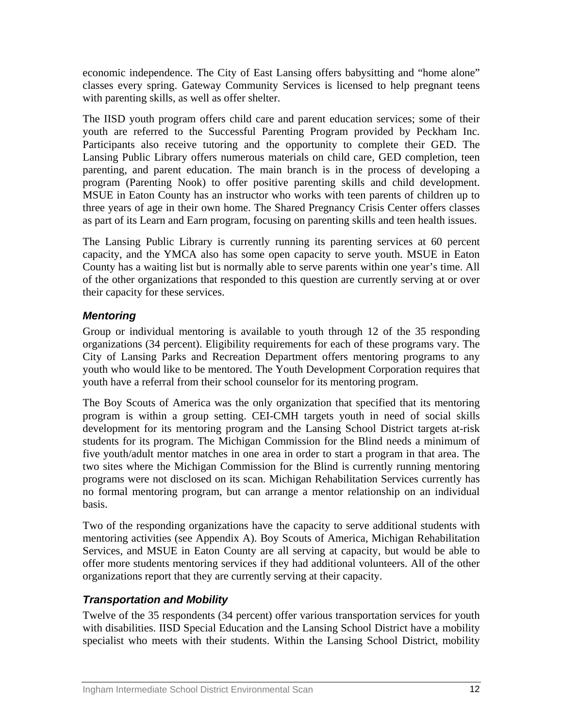economic independence. The City of East Lansing offers babysitting and "home alone" classes every spring. Gateway Community Services is licensed to help pregnant teens with parenting skills, as well as offer shelter.

The IISD youth program offers child care and parent education services; some of their youth are referred to the Successful Parenting Program provided by Peckham Inc. Participants also receive tutoring and the opportunity to complete their GED. The Lansing Public Library offers numerous materials on child care, GED completion, teen parenting, and parent education. The main branch is in the process of developing a program (Parenting Nook) to offer positive parenting skills and child development. MSUE in Eaton County has an instructor who works with teen parents of children up to three years of age in their own home. The Shared Pregnancy Crisis Center offers classes as part of its Learn and Earn program, focusing on parenting skills and teen health issues.

The Lansing Public Library is currently running its parenting services at 60 percent capacity, and the YMCA also has some open capacity to serve youth. MSUE in Eaton County has a waiting list but is normally able to serve parents within one year's time. All of the other organizations that responded to this question are currently serving at or over their capacity for these services.

# *Mentoring*

Group or individual mentoring is available to youth through 12 of the 35 responding organizations (34 percent). Eligibility requirements for each of these programs vary. The City of Lansing Parks and Recreation Department offers mentoring programs to any youth who would like to be mentored. The Youth Development Corporation requires that youth have a referral from their school counselor for its mentoring program.

The Boy Scouts of America was the only organization that specified that its mentoring program is within a group setting. CEI-CMH targets youth in need of social skills development for its mentoring program and the Lansing School District targets at-risk students for its program. The Michigan Commission for the Blind needs a minimum of five youth/adult mentor matches in one area in order to start a program in that area. The two sites where the Michigan Commission for the Blind is currently running mentoring programs were not disclosed on its scan. Michigan Rehabilitation Services currently has no formal mentoring program, but can arrange a mentor relationship on an individual basis.

Two of the responding organizations have the capacity to serve additional students with mentoring activities (see Appendix A). Boy Scouts of America, Michigan Rehabilitation Services, and MSUE in Eaton County are all serving at capacity, but would be able to offer more students mentoring services if they had additional volunteers. All of the other organizations report that they are currently serving at their capacity.

# *Transportation and Mobility*

Twelve of the 35 respondents (34 percent) offer various transportation services for youth with disabilities. IISD Special Education and the Lansing School District have a mobility specialist who meets with their students. Within the Lansing School District, mobility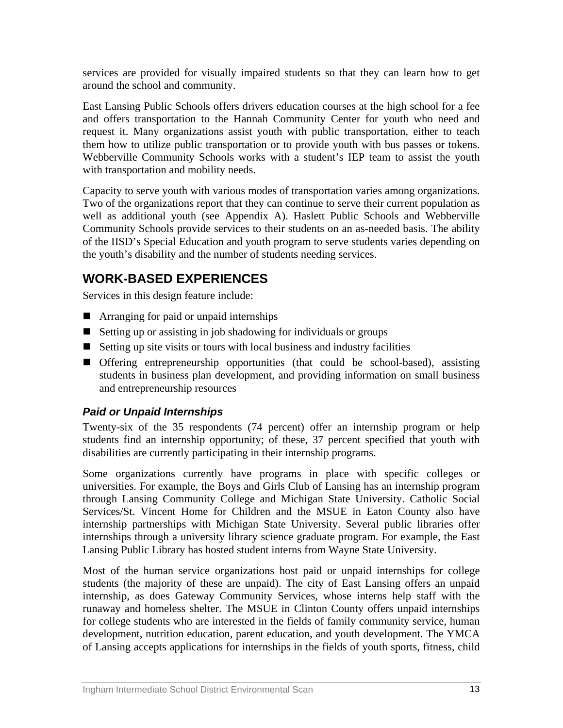<span id="page-12-0"></span>services are provided for visually impaired students so that they can learn how to get around the school and community.

East Lansing Public Schools offers drivers education courses at the high school for a fee and offers transportation to the Hannah Community Center for youth who need and request it. Many organizations assist youth with public transportation, either to teach them how to utilize public transportation or to provide youth with bus passes or tokens. Webberville Community Schools works with a student's IEP team to assist the youth with transportation and mobility needs.

Capacity to serve youth with various modes of transportation varies among organizations. Two of the organizations report that they can continue to serve their current population as well as additional youth (see Appendix A). Haslett Public Schools and Webberville Community Schools provide services to their students on an as-needed basis. The ability of the IISD's Special Education and youth program to serve students varies depending on the youth's disability and the number of students needing services.

# **WORK-BASED EXPERIENCES**

Services in this design feature include:

- Arranging for paid or unpaid internships
- $\blacksquare$  Setting up or assisting in job shadowing for individuals or groups
- $\blacksquare$  Setting up site visits or tours with local business and industry facilities
- Offering entrepreneurship opportunities (that could be school-based), assisting students in business plan development, and providing information on small business and entrepreneurship resources

# *Paid or Unpaid Internships*

Twenty-six of the 35 respondents (74 percent) offer an internship program or help students find an internship opportunity; of these, 37 percent specified that youth with disabilities are currently participating in their internship programs.

Some organizations currently have programs in place with specific colleges or universities. For example, the Boys and Girls Club of Lansing has an internship program through Lansing Community College and Michigan State University. Catholic Social Services/St. Vincent Home for Children and the MSUE in Eaton County also have internship partnerships with Michigan State University. Several public libraries offer internships through a university library science graduate program. For example, the East Lansing Public Library has hosted student interns from Wayne State University.

Most of the human service organizations host paid or unpaid internships for college students (the majority of these are unpaid). The city of East Lansing offers an unpaid internship, as does Gateway Community Services, whose interns help staff with the runaway and homeless shelter. The MSUE in Clinton County offers unpaid internships for college students who are interested in the fields of family community service, human development, nutrition education, parent education, and youth development. The YMCA of Lansing accepts applications for internships in the fields of youth sports, fitness, child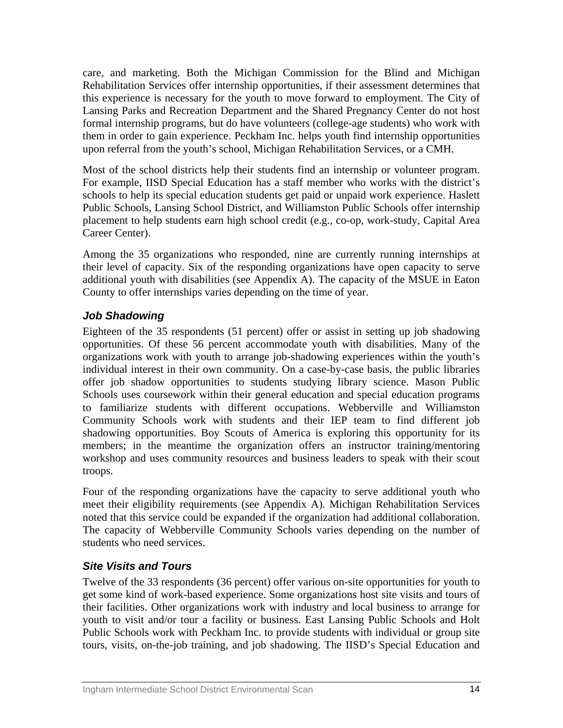care, and marketing. Both the Michigan Commission for the Blind and Michigan Rehabilitation Services offer internship opportunities, if their assessment determines that this experience is necessary for the youth to move forward to employment. The City of Lansing Parks and Recreation Department and the Shared Pregnancy Center do not host formal internship programs, but do have volunteers (college-age students) who work with them in order to gain experience. Peckham Inc. helps youth find internship opportunities upon referral from the youth's school, Michigan Rehabilitation Services, or a CMH.

Most of the school districts help their students find an internship or volunteer program. For example, IISD Special Education has a staff member who works with the district's schools to help its special education students get paid or unpaid work experience. Haslett Public Schools, Lansing School District, and Williamston Public Schools offer internship placement to help students earn high school credit (e.g., co-op, work-study, Capital Area Career Center).

Among the 35 organizations who responded, nine are currently running internships at their level of capacity. Six of the responding organizations have open capacity to serve additional youth with disabilities (see Appendix A). The capacity of the MSUE in Eaton County to offer internships varies depending on the time of year.

# *Job Shadowing*

Eighteen of the 35 respondents (51 percent) offer or assist in setting up job shadowing opportunities. Of these 56 percent accommodate youth with disabilities. Many of the organizations work with youth to arrange job-shadowing experiences within the youth's individual interest in their own community. On a case-by-case basis, the public libraries offer job shadow opportunities to students studying library science. Mason Public Schools uses coursework within their general education and special education programs to familiarize students with different occupations. Webberville and Williamston Community Schools work with students and their IEP team to find different job shadowing opportunities. Boy Scouts of America is exploring this opportunity for its members; in the meantime the organization offers an instructor training/mentoring workshop and uses community resources and business leaders to speak with their scout troops.

Four of the responding organizations have the capacity to serve additional youth who meet their eligibility requirements (see Appendix A). Michigan Rehabilitation Services noted that this service could be expanded if the organization had additional collaboration. The capacity of Webberville Community Schools varies depending on the number of students who need services.

# *Site Visits and Tours*

Twelve of the 33 respondents (36 percent) offer various on-site opportunities for youth to get some kind of work-based experience. Some organizations host site visits and tours of their facilities. Other organizations work with industry and local business to arrange for youth to visit and/or tour a facility or business. East Lansing Public Schools and Holt Public Schools work with Peckham Inc. to provide students with individual or group site tours, visits, on-the-job training, and job shadowing. The IISD's Special Education and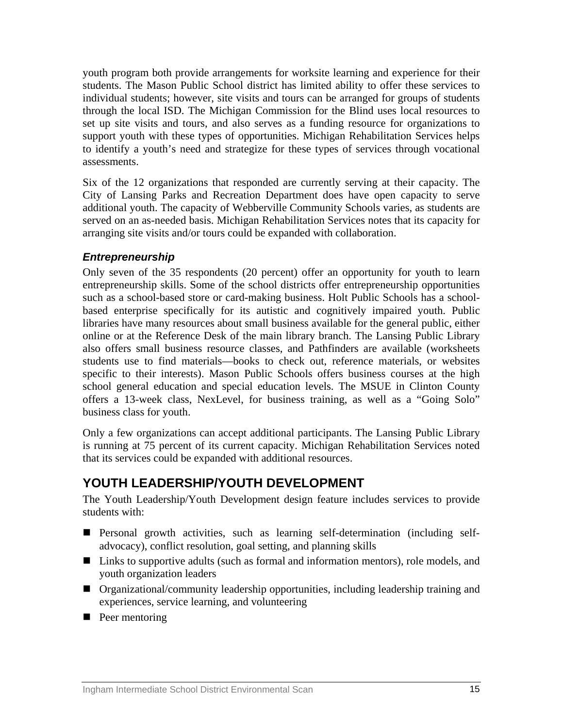<span id="page-14-0"></span>youth program both provide arrangements for worksite learning and experience for their students. The Mason Public School district has limited ability to offer these services to individual students; however, site visits and tours can be arranged for groups of students through the local ISD. The Michigan Commission for the Blind uses local resources to set up site visits and tours, and also serves as a funding resource for organizations to support youth with these types of opportunities. Michigan Rehabilitation Services helps to identify a youth's need and strategize for these types of services through vocational assessments.

Six of the 12 organizations that responded are currently serving at their capacity. The City of Lansing Parks and Recreation Department does have open capacity to serve additional youth. The capacity of Webberville Community Schools varies, as students are served on an as-needed basis. Michigan Rehabilitation Services notes that its capacity for arranging site visits and/or tours could be expanded with collaboration.

# *Entrepreneurship*

Only seven of the 35 respondents (20 percent) offer an opportunity for youth to learn entrepreneurship skills. Some of the school districts offer entrepreneurship opportunities such as a school-based store or card-making business. Holt Public Schools has a schoolbased enterprise specifically for its autistic and cognitively impaired youth. Public libraries have many resources about small business available for the general public, either online or at the Reference Desk of the main library branch. The Lansing Public Library also offers small business resource classes, and Pathfinders are available (worksheets students use to find materials—books to check out, reference materials, or websites specific to their interests). Mason Public Schools offers business courses at the high school general education and special education levels. The MSUE in Clinton County offers a 13-week class, NexLevel, for business training, as well as a "Going Solo" business class for youth.

Only a few organizations can accept additional participants. The Lansing Public Library is running at 75 percent of its current capacity. Michigan Rehabilitation Services noted that its services could be expanded with additional resources.

# **YOUTH LEADERSHIP/YOUTH DEVELOPMENT**

The Youth Leadership/Youth Development design feature includes services to provide students with:

- Personal growth activities, such as learning self-determination (including selfadvocacy), conflict resolution, goal setting, and planning skills
- Links to supportive adults (such as formal and information mentors), role models, and youth organization leaders
- Organizational/community leadership opportunities, including leadership training and experiences, service learning, and volunteering
- **Peer mentoring**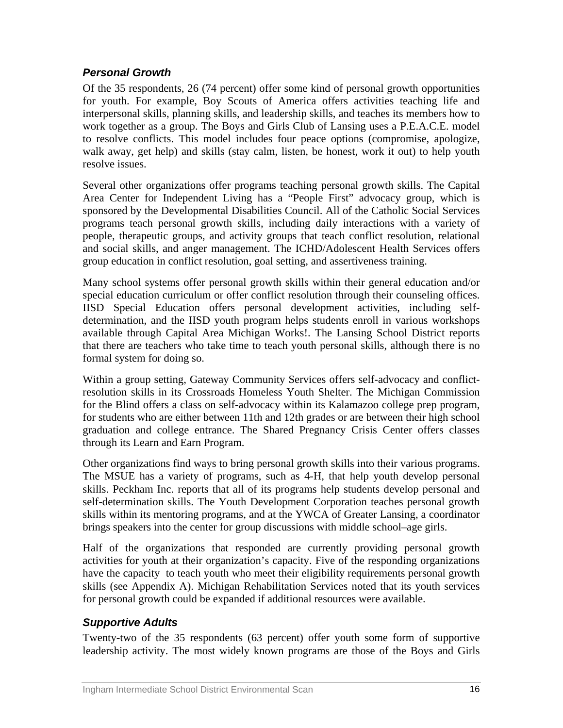# *Personal Growth*

Of the 35 respondents, 26 (74 percent) offer some kind of personal growth opportunities for youth. For example, Boy Scouts of America offers activities teaching life and interpersonal skills, planning skills, and leadership skills, and teaches its members how to work together as a group. The Boys and Girls Club of Lansing uses a P.E.A.C.E. model to resolve conflicts. This model includes four peace options (compromise, apologize, walk away, get help) and skills (stay calm, listen, be honest, work it out) to help youth resolve issues.

Several other organizations offer programs teaching personal growth skills. The Capital Area Center for Independent Living has a "People First" advocacy group, which is sponsored by the Developmental Disabilities Council. All of the Catholic Social Services programs teach personal growth skills, including daily interactions with a variety of people, therapeutic groups, and activity groups that teach conflict resolution, relational and social skills, and anger management. The ICHD/Adolescent Health Services offers group education in conflict resolution, goal setting, and assertiveness training.

Many school systems offer personal growth skills within their general education and/or special education curriculum or offer conflict resolution through their counseling offices. IISD Special Education offers personal development activities, including selfdetermination, and the IISD youth program helps students enroll in various workshops available through Capital Area Michigan Works!. The Lansing School District reports that there are teachers who take time to teach youth personal skills, although there is no formal system for doing so.

Within a group setting, Gateway Community Services offers self-advocacy and conflictresolution skills in its Crossroads Homeless Youth Shelter. The Michigan Commission for the Blind offers a class on self-advocacy within its Kalamazoo college prep program, for students who are either between 11th and 12th grades or are between their high school graduation and college entrance. The Shared Pregnancy Crisis Center offers classes through its Learn and Earn Program.

Other organizations find ways to bring personal growth skills into their various programs. The MSUE has a variety of programs, such as 4-H, that help youth develop personal skills. Peckham Inc. reports that all of its programs help students develop personal and self-determination skills. The Youth Development Corporation teaches personal growth skills within its mentoring programs, and at the YWCA of Greater Lansing, a coordinator brings speakers into the center for group discussions with middle school–age girls.

Half of the organizations that responded are currently providing personal growth activities for youth at their organization's capacity. Five of the responding organizations have the capacity to teach youth who meet their eligibility requirements personal growth skills (see Appendix A). Michigan Rehabilitation Services noted that its youth services for personal growth could be expanded if additional resources were available.

# *Supportive Adults*

Twenty-two of the 35 respondents (63 percent) offer youth some form of supportive leadership activity. The most widely known programs are those of the Boys and Girls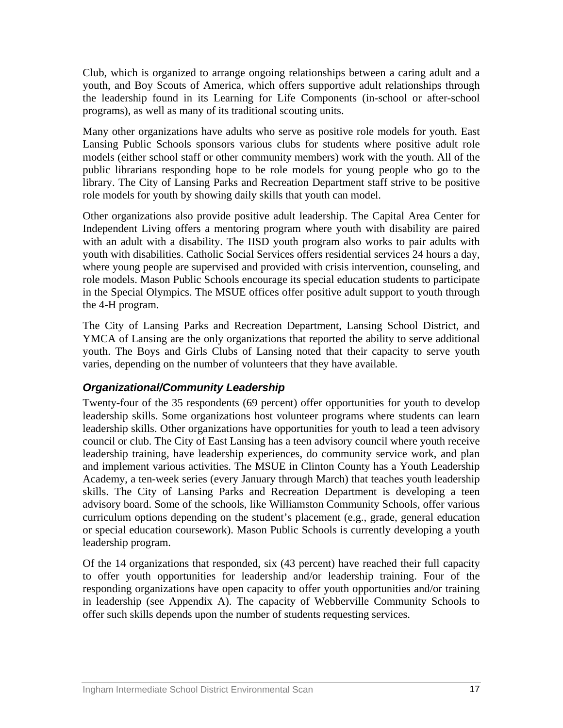Club, which is organized to arrange ongoing relationships between a caring adult and a youth, and Boy Scouts of America, which offers supportive adult relationships through the leadership found in its Learning for Life Components (in-school or after-school programs), as well as many of its traditional scouting units.

Many other organizations have adults who serve as positive role models for youth. East Lansing Public Schools sponsors various clubs for students where positive adult role models (either school staff or other community members) work with the youth. All of the public librarians responding hope to be role models for young people who go to the library. The City of Lansing Parks and Recreation Department staff strive to be positive role models for youth by showing daily skills that youth can model.

Other organizations also provide positive adult leadership. The Capital Area Center for Independent Living offers a mentoring program where youth with disability are paired with an adult with a disability. The IISD youth program also works to pair adults with youth with disabilities. Catholic Social Services offers residential services 24 hours a day, where young people are supervised and provided with crisis intervention, counseling, and role models. Mason Public Schools encourage its special education students to participate in the Special Olympics. The MSUE offices offer positive adult support to youth through the 4-H program.

The City of Lansing Parks and Recreation Department, Lansing School District, and YMCA of Lansing are the only organizations that reported the ability to serve additional youth. The Boys and Girls Clubs of Lansing noted that their capacity to serve youth varies, depending on the number of volunteers that they have available.

# *Organizational/Community Leadership*

Twenty-four of the 35 respondents (69 percent) offer opportunities for youth to develop leadership skills. Some organizations host volunteer programs where students can learn leadership skills. Other organizations have opportunities for youth to lead a teen advisory council or club. The City of East Lansing has a teen advisory council where youth receive leadership training, have leadership experiences, do community service work, and plan and implement various activities. The MSUE in Clinton County has a Youth Leadership Academy, a ten-week series (every January through March) that teaches youth leadership skills. The City of Lansing Parks and Recreation Department is developing a teen advisory board. Some of the schools, like Williamston Community Schools, offer various curriculum options depending on the student's placement (e.g., grade, general education or special education coursework). Mason Public Schools is currently developing a youth leadership program.

Of the 14 organizations that responded, six (43 percent) have reached their full capacity to offer youth opportunities for leadership and/or leadership training. Four of the responding organizations have open capacity to offer youth opportunities and/or training in leadership (see Appendix A). The capacity of Webberville Community Schools to offer such skills depends upon the number of students requesting services.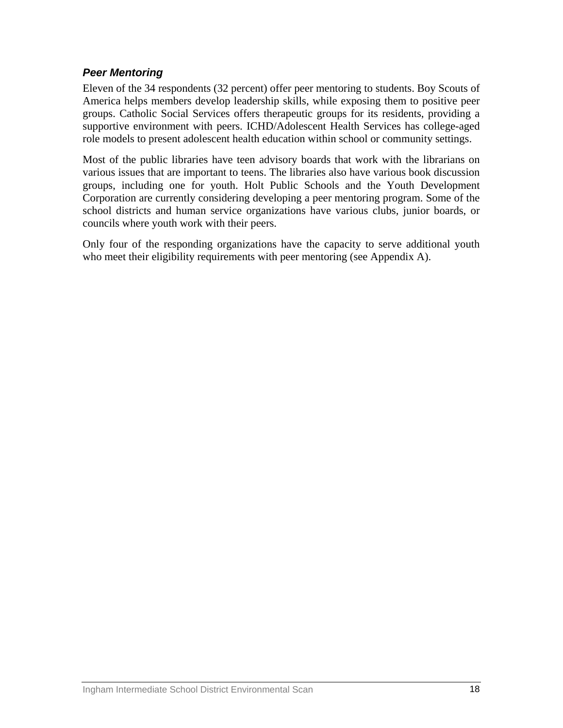### *Peer Mentoring*

Eleven of the 34 respondents (32 percent) offer peer mentoring to students. Boy Scouts of America helps members develop leadership skills, while exposing them to positive peer groups. Catholic Social Services offers therapeutic groups for its residents, providing a supportive environment with peers. ICHD/Adolescent Health Services has college-aged role models to present adolescent health education within school or community settings.

Most of the public libraries have teen advisory boards that work with the librarians on various issues that are important to teens. The libraries also have various book discussion groups, including one for youth. Holt Public Schools and the Youth Development Corporation are currently considering developing a peer mentoring program. Some of the school districts and human service organizations have various clubs, junior boards, or councils where youth work with their peers.

Only four of the responding organizations have the capacity to serve additional youth who meet their eligibility requirements with peer mentoring (see Appendix A).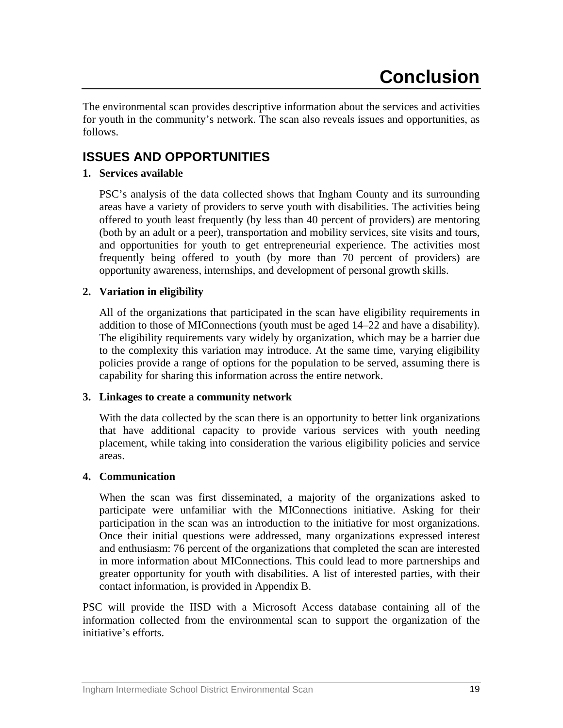<span id="page-18-0"></span>The environmental scan provides descriptive information about the services and activities for youth in the community's network. The scan also reveals issues and opportunities, as follows.

# **ISSUES AND OPPORTUNITIES**

## **1. Services available**

PSC's analysis of the data collected shows that Ingham County and its surrounding areas have a variety of providers to serve youth with disabilities. The activities being offered to youth least frequently (by less than 40 percent of providers) are mentoring (both by an adult or a peer), transportation and mobility services, site visits and tours, and opportunities for youth to get entrepreneurial experience. The activities most frequently being offered to youth (by more than 70 percent of providers) are opportunity awareness, internships, and development of personal growth skills.

### **2. Variation in eligibility**

All of the organizations that participated in the scan have eligibility requirements in addition to those of MIConnections (youth must be aged 14–22 and have a disability). The eligibility requirements vary widely by organization, which may be a barrier due to the complexity this variation may introduce. At the same time, varying eligibility policies provide a range of options for the population to be served, assuming there is capability for sharing this information across the entire network.

### **3. Linkages to create a community network**

With the data collected by the scan there is an opportunity to better link organizations that have additional capacity to provide various services with youth needing placement, while taking into consideration the various eligibility policies and service areas.

### **4. Communication**

When the scan was first disseminated, a majority of the organizations asked to participate were unfamiliar with the MIConnections initiative. Asking for their participation in the scan was an introduction to the initiative for most organizations. Once their initial questions were addressed, many organizations expressed interest and enthusiasm: 76 percent of the organizations that completed the scan are interested in more information about MIConnections. This could lead to more partnerships and greater opportunity for youth with disabilities. A list of interested parties, with their contact information, is provided in Appendix B.

PSC will provide the IISD with a Microsoft Access database containing all of the information collected from the environmental scan to support the organization of the initiative's efforts.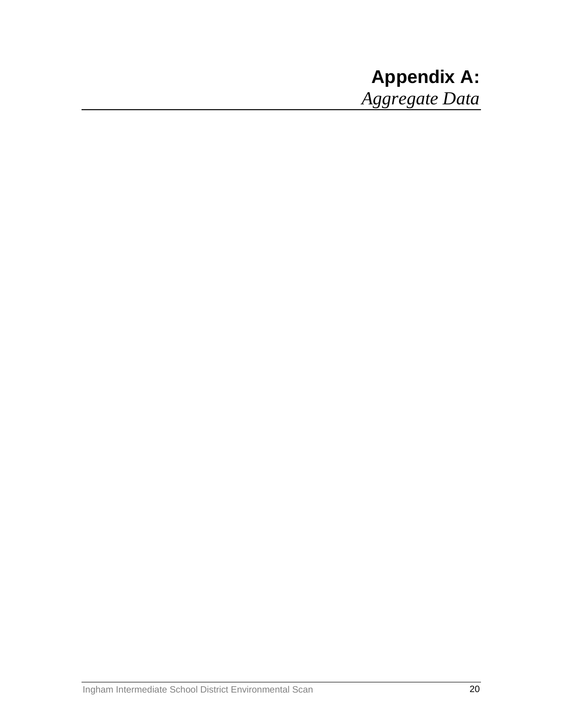# <span id="page-19-0"></span>**Appendix A:**  *Aggregate Data*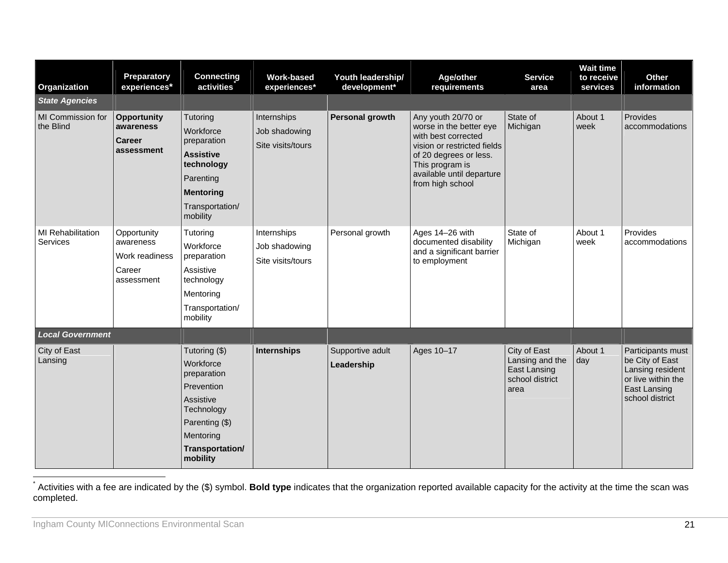| Organization                                | Preparatory<br>experiences*                                        | <b>Connecting</b><br>activities                                                                                                                  | <b>Work-based</b><br>experiences*                 | Youth leadership/<br>development* | Age/other<br>requirements                                                                                                                                                                         | <b>Service</b><br>area                                                     | <b>Wait time</b><br>to receive<br>services | Other<br>information                                                                                              |
|---------------------------------------------|--------------------------------------------------------------------|--------------------------------------------------------------------------------------------------------------------------------------------------|---------------------------------------------------|-----------------------------------|---------------------------------------------------------------------------------------------------------------------------------------------------------------------------------------------------|----------------------------------------------------------------------------|--------------------------------------------|-------------------------------------------------------------------------------------------------------------------|
| <b>State Agencies</b>                       |                                                                    |                                                                                                                                                  |                                                   |                                   |                                                                                                                                                                                                   |                                                                            |                                            |                                                                                                                   |
| MI Commission for<br>the Blind              | <b>Opportunity</b><br>awareness<br><b>Career</b><br>assessment     | Tutoring<br>Workforce<br>preparation<br><b>Assistive</b><br>technology<br>Parenting<br><b>Mentoring</b><br>Transportation/<br>mobility           | Internships<br>Job shadowing<br>Site visits/tours | Personal growth                   | Any youth 20/70 or<br>worse in the better eye<br>with best corrected<br>vision or restricted fields<br>of 20 degrees or less.<br>This program is<br>available until departure<br>from high school | State of<br>Michigan                                                       | About 1<br>week                            | Provides<br>accommodations                                                                                        |
| <b>MI Rehabilitation</b><br><b>Services</b> | Opportunity<br>awareness<br>Work readiness<br>Career<br>assessment | Tutoring<br>Workforce<br>preparation<br>Assistive<br>technology<br>Mentoring<br>Transportation/<br>mobility                                      | Internships<br>Job shadowing<br>Site visits/tours | Personal growth                   | Ages 14-26 with<br>documented disability<br>and a significant barrier<br>to employment                                                                                                            | State of<br>Michigan                                                       | About 1<br>week                            | Provides<br>accommodations                                                                                        |
| <b>Local Government</b>                     |                                                                    |                                                                                                                                                  |                                                   |                                   |                                                                                                                                                                                                   |                                                                            |                                            |                                                                                                                   |
| City of East<br>Lansing                     |                                                                    | Tutoring (\$)<br>Workforce<br>preparation<br>Prevention<br>Assistive<br>Technology<br>Parenting (\$)<br>Mentoring<br>Transportation/<br>mobility | <b>Internships</b>                                | Supportive adult<br>Leadership    | Ages 10-17                                                                                                                                                                                        | City of East<br>Lansing and the<br>East Lansing<br>school district<br>area | About 1<br>day                             | Participants must<br>be City of East<br>Lansing resident<br>or live within the<br>East Lansing<br>school district |

<span id="page-20-0"></span>\* Activities with a fee are indicated by the (\$) symbol. **Bold type** indicates that the organization reported available capacity for the activity at the time the scan was completed.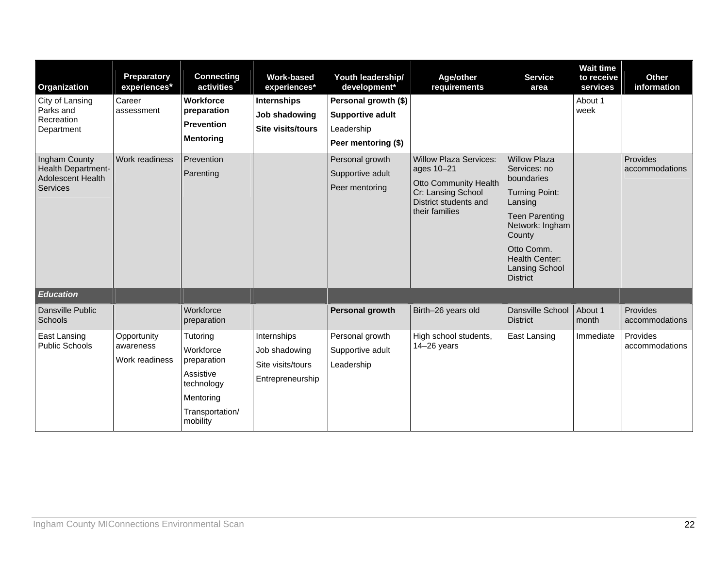| Organization                                                                       | Preparatory<br>experiences*                | <b>Connecting</b><br>activities                                                                             | <b>Work-based</b><br>experiences*                                     | Youth leadership/<br>development*                                                    | Age/other<br>requirements                                                                                                                    | <b>Service</b><br>area                                                                                                                                                                                                  | <b>Wait time</b><br>to receive<br>services | Other<br>information       |
|------------------------------------------------------------------------------------|--------------------------------------------|-------------------------------------------------------------------------------------------------------------|-----------------------------------------------------------------------|--------------------------------------------------------------------------------------|----------------------------------------------------------------------------------------------------------------------------------------------|-------------------------------------------------------------------------------------------------------------------------------------------------------------------------------------------------------------------------|--------------------------------------------|----------------------------|
| City of Lansing<br>Parks and<br>Recreation<br>Department                           | Career<br>assessment                       | <b>Workforce</b><br>preparation<br><b>Prevention</b><br><b>Mentoring</b>                                    | <b>Internships</b><br>Job shadowing<br><b>Site visits/tours</b>       | Personal growth (\$)<br><b>Supportive adult</b><br>Leadership<br>Peer mentoring (\$) |                                                                                                                                              |                                                                                                                                                                                                                         | About 1<br>week                            |                            |
| Ingham County<br>Health Department-<br><b>Adolescent Health</b><br><b>Services</b> | Work readiness                             | Prevention<br>Parenting                                                                                     |                                                                       | Personal growth<br>Supportive adult<br>Peer mentoring                                | <b>Willow Plaza Services:</b><br>ages 10-21<br><b>Otto Community Health</b><br>Cr: Lansing School<br>District students and<br>their families | <b>Willow Plaza</b><br>Services: no<br>boundaries<br><b>Turning Point:</b><br>Lansing<br><b>Teen Parenting</b><br>Network: Ingham<br>County<br>Otto Comm.<br>Health Center:<br><b>Lansing School</b><br><b>District</b> |                                            | Provides<br>accommodations |
| <b>Education</b>                                                                   |                                            |                                                                                                             |                                                                       |                                                                                      |                                                                                                                                              |                                                                                                                                                                                                                         |                                            |                            |
| Dansville Public<br>Schools                                                        |                                            | Workforce<br>preparation                                                                                    |                                                                       | Personal growth                                                                      | Birth-26 years old                                                                                                                           | Dansville School<br><b>District</b>                                                                                                                                                                                     | About 1<br>month                           | Provides<br>accommodations |
| East Lansing<br><b>Public Schools</b>                                              | Opportunity<br>awareness<br>Work readiness | Tutoring<br>Workforce<br>preparation<br>Assistive<br>technology<br>Mentoring<br>Transportation/<br>mobility | Internships<br>Job shadowing<br>Site visits/tours<br>Entrepreneurship | Personal growth<br>Supportive adult<br>Leadership                                    | High school students,<br>$14-26$ years                                                                                                       | East Lansing                                                                                                                                                                                                            | Immediate                                  | Provides<br>accommodations |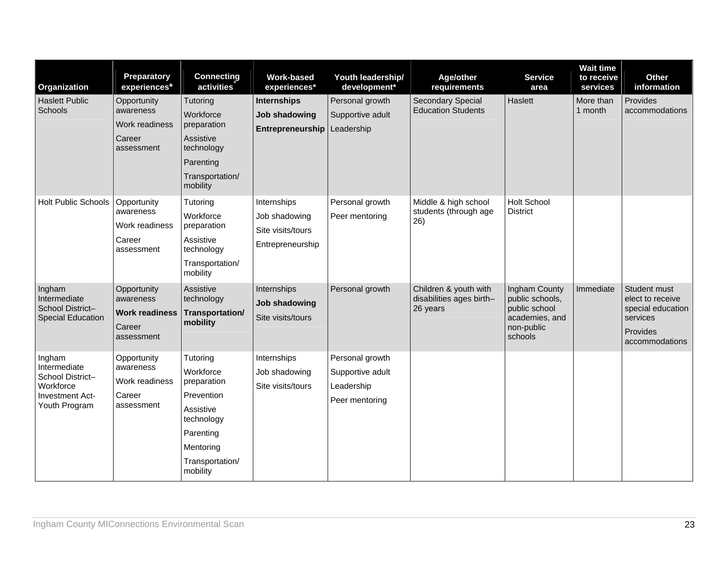| Organization                                                                                | Preparatory<br>experiences*                                               | <b>Connecting</b><br>activities                                                                                                        | <b>Work-based</b><br>experiences*                                     | Youth leadership/<br>development*                                   | Age/other<br>requirements                                     | <b>Service</b><br>area                                                                       | <b>Wait time</b><br>to receive<br>services | Other<br>information                                                                            |
|---------------------------------------------------------------------------------------------|---------------------------------------------------------------------------|----------------------------------------------------------------------------------------------------------------------------------------|-----------------------------------------------------------------------|---------------------------------------------------------------------|---------------------------------------------------------------|----------------------------------------------------------------------------------------------|--------------------------------------------|-------------------------------------------------------------------------------------------------|
| <b>Haslett Public</b><br>Schools                                                            | Opportunity<br>awareness<br><b>Work readiness</b><br>Career<br>assessment | Tutoring<br>Workforce<br>preparation<br>Assistive<br>technology<br>Parenting<br>Transportation/<br>mobility                            | <b>Internships</b><br>Job shadowing<br>Entrepreneurship               | Personal growth<br>Supportive adult<br>Leadership                   | <b>Secondary Special</b><br><b>Education Students</b>         | Haslett                                                                                      | More than<br>1 month                       | Provides<br>accommodations                                                                      |
| <b>Holt Public Schools</b>                                                                  | Opportunity<br>awareness<br>Work readiness<br>Career<br>assessment        | Tutoring<br>Workforce<br>preparation<br>Assistive<br>technology<br>Transportation/<br>mobility                                         | Internships<br>Job shadowing<br>Site visits/tours<br>Entrepreneurship | Personal growth<br>Peer mentoring                                   | Middle & high school<br>students (through age<br>26)          | <b>Holt School</b><br><b>District</b>                                                        |                                            |                                                                                                 |
| Ingham<br>Intermediate<br>School District-<br>Special Education                             | Opportunity<br>awareness<br><b>Work readiness</b><br>Career<br>assessment | Assistive<br>technology<br><b>Transportation/</b><br>mobility                                                                          | Internships<br>Job shadowing<br>Site visits/tours                     | Personal growth                                                     | Children & youth with<br>disabilities ages birth-<br>26 years | Ingham County<br>public schools,<br>public school<br>academies, and<br>non-public<br>schools | Immediate                                  | Student must<br>elect to receive<br>special education<br>services<br>Provides<br>accommodations |
| Ingham<br>Intermediate<br>School District-<br>Workforce<br>Investment Act-<br>Youth Program | Opportunity<br>awareness<br>Work readiness<br>Career<br>assessment        | Tutoring<br>Workforce<br>preparation<br>Prevention<br>Assistive<br>technology<br>Parenting<br>Mentoring<br>Transportation/<br>mobility | Internships<br>Job shadowing<br>Site visits/tours                     | Personal growth<br>Supportive adult<br>Leadership<br>Peer mentoring |                                                               |                                                                                              |                                            |                                                                                                 |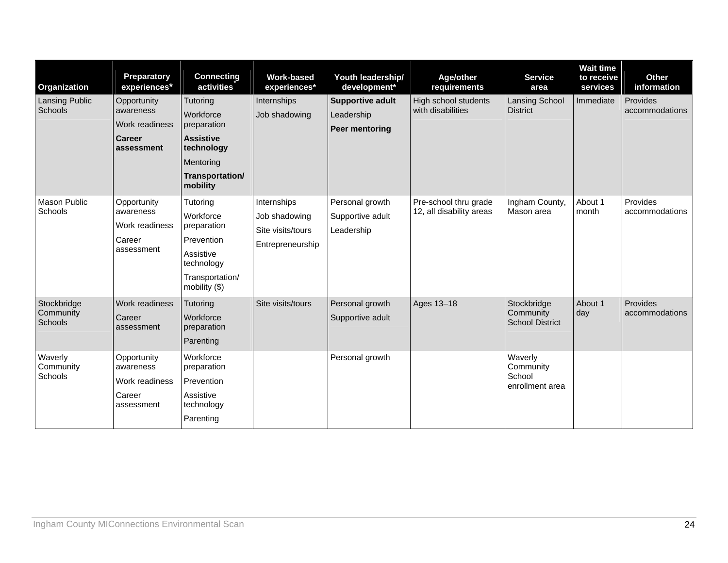| Organization                        | Preparatory<br>experiences*                                               | <b>Connecting</b><br>activities                                                                                     | <b>Work-based</b><br>experiences*                                     | Youth leadership/<br>development*                 | Age/other<br>requirements                         | <b>Service</b><br>area                             | <b>Wait time</b><br>to receive<br>services | Other<br>information       |
|-------------------------------------|---------------------------------------------------------------------------|---------------------------------------------------------------------------------------------------------------------|-----------------------------------------------------------------------|---------------------------------------------------|---------------------------------------------------|----------------------------------------------------|--------------------------------------------|----------------------------|
| Lansing Public<br>Schools           | Opportunity<br>awareness<br>Work readiness<br><b>Career</b><br>assessment | Tutoring<br>Workforce<br>preparation<br><b>Assistive</b><br>technology<br>Mentoring<br>Transportation/<br>mobility  | Internships<br>Job shadowing                                          | Supportive adult<br>Leadership<br>Peer mentoring  | High school students<br>with disabilities         | <b>Lansing School</b><br><b>District</b>           | Immediate                                  | Provides<br>accommodations |
| Mason Public<br>Schools             | Opportunity<br>awareness<br>Work readiness<br>Career<br>assessment        | Tutoring<br>Workforce<br>preparation<br>Prevention<br>Assistive<br>technology<br>Transportation/<br>mobility $(\$)$ | Internships<br>Job shadowing<br>Site visits/tours<br>Entrepreneurship | Personal growth<br>Supportive adult<br>Leadership | Pre-school thru grade<br>12, all disability areas | Ingham County,<br>Mason area                       | About 1<br>month                           | Provides<br>accommodations |
| Stockbridge<br>Community<br>Schools | Work readiness<br>Career<br>assessment                                    | Tutoring<br>Workforce<br>preparation<br>Parenting                                                                   | Site visits/tours                                                     | Personal growth<br>Supportive adult               | Ages 13-18                                        | Stockbridge<br>Community<br><b>School District</b> | About 1<br>day                             | Provides<br>accommodations |
| Waverly<br>Community<br>Schools     | Opportunity<br>awareness<br>Work readiness<br>Career<br>assessment        | Workforce<br>preparation<br>Prevention<br>Assistive<br>technology<br>Parenting                                      |                                                                       | Personal growth                                   |                                                   | Waverly<br>Community<br>School<br>enrollment area  |                                            |                            |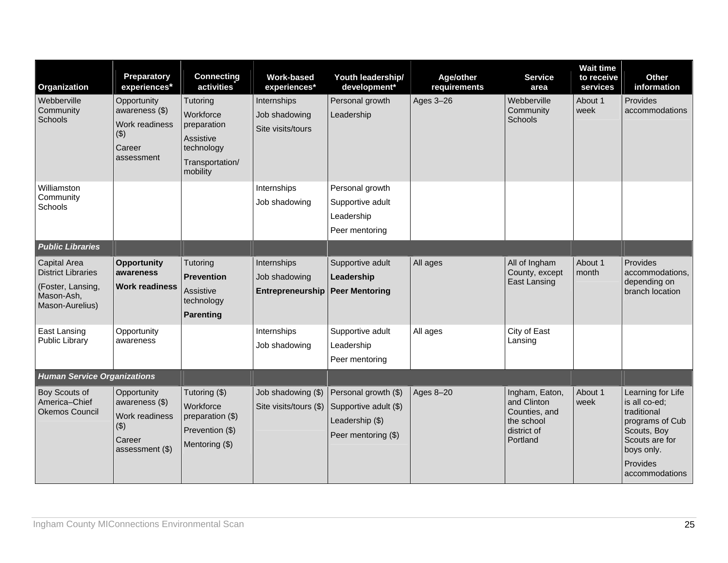| Organization                                                                                           | Preparatory<br>experiences*                                                           | <b>Connecting</b><br>activities                                                                | <b>Work-based</b><br>experiences*                 | Youth leadership/<br>development*                                                       | Age/other<br>requirements | <b>Service</b><br>area                                                                  | <b>Wait time</b><br>to receive<br>services | Other<br>information                                                                                                                              |
|--------------------------------------------------------------------------------------------------------|---------------------------------------------------------------------------------------|------------------------------------------------------------------------------------------------|---------------------------------------------------|-----------------------------------------------------------------------------------------|---------------------------|-----------------------------------------------------------------------------------------|--------------------------------------------|---------------------------------------------------------------------------------------------------------------------------------------------------|
| Webberville<br>Community<br>Schools                                                                    | Opportunity<br>awareness (\$)<br>Work readiness<br>$($ \$)<br>Career<br>assessment    | Tutoring<br>Workforce<br>preparation<br>Assistive<br>technology<br>Transportation/<br>mobility | Internships<br>Job shadowing<br>Site visits/tours | Personal growth<br>Leadership                                                           | Ages 3-26                 | Webberville<br>Community<br>Schools                                                     | About 1<br>week                            | Provides<br>accommodations                                                                                                                        |
| Williamston<br>Community<br>Schools                                                                    |                                                                                       |                                                                                                | Internships<br>Job shadowing                      | Personal growth<br>Supportive adult<br>Leadership<br>Peer mentoring                     |                           |                                                                                         |                                            |                                                                                                                                                   |
| <b>Public Libraries</b>                                                                                |                                                                                       |                                                                                                |                                                   |                                                                                         |                           |                                                                                         |                                            |                                                                                                                                                   |
| <b>Capital Area</b><br><b>District Libraries</b><br>(Foster, Lansing,<br>Mason-Ash,<br>Mason-Aurelius) | <b>Opportunity</b><br>awareness<br><b>Work readiness</b>                              | Tutoring<br><b>Prevention</b><br>Assistive<br>technology<br><b>Parenting</b>                   | Internships<br>Job shadowing<br>Entrepreneurship  | Supportive adult<br>Leadership<br><b>Peer Mentoring</b>                                 | All ages                  | All of Ingham<br>County, except<br><b>East Lansing</b>                                  | About 1<br>month                           | Provides<br>accommodations,<br>depending on<br>branch location                                                                                    |
| East Lansing<br><b>Public Library</b>                                                                  | Opportunity<br>awareness                                                              |                                                                                                | Internships<br>Job shadowing                      | Supportive adult<br>Leadership<br>Peer mentoring                                        | All ages                  | City of East<br>Lansing                                                                 |                                            |                                                                                                                                                   |
| <b>Human Service Organizations</b>                                                                     |                                                                                       |                                                                                                |                                                   |                                                                                         |                           |                                                                                         |                                            |                                                                                                                                                   |
| <b>Boy Scouts of</b><br>America-Chief<br><b>Okemos Council</b>                                         | Opportunity<br>awareness (\$)<br>Work readiness<br>(3)<br>Career<br>assessment $(\$)$ | Tutoring (\$)<br>Workforce<br>preparation (\$)<br>Prevention (\$)<br>Mentoring (\$)            | Job shadowing (\$)<br>Site visits/tours (\$)      | Personal growth (\$)<br>Supportive adult (\$)<br>Leadership (\$)<br>Peer mentoring (\$) | Ages 8-20                 | Ingham, Eaton,<br>and Clinton<br>Counties, and<br>the school<br>district of<br>Portland | About 1<br>week                            | Learning for Life<br>is all co-ed;<br>traditional<br>programs of Cub<br>Scouts, Boy<br>Scouts are for<br>boys only.<br>Provides<br>accommodations |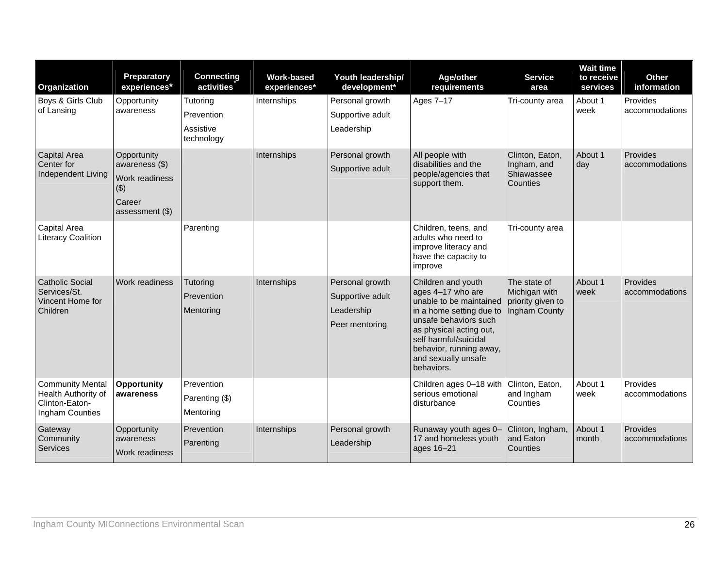| Organization                                                                        | Preparatory<br>experiences*                                                             | <b>Connecting</b><br>activities                   | <b>Work-based</b><br>experiences* | Youth leadership/<br>development*                                   | Age/other<br>requirements                                                                                                                                                                                                                   | <b>Service</b><br>area                                              | <b>Wait time</b><br>to receive<br>services | Other<br>information       |
|-------------------------------------------------------------------------------------|-----------------------------------------------------------------------------------------|---------------------------------------------------|-----------------------------------|---------------------------------------------------------------------|---------------------------------------------------------------------------------------------------------------------------------------------------------------------------------------------------------------------------------------------|---------------------------------------------------------------------|--------------------------------------------|----------------------------|
| Boys & Girls Club<br>of Lansing                                                     | Opportunity<br>awareness                                                                | Tutoring<br>Prevention<br>Assistive<br>technology | Internships                       | Personal growth<br>Supportive adult<br>Leadership                   | Ages 7-17                                                                                                                                                                                                                                   | Tri-county area                                                     | About 1<br>week                            | Provides<br>accommodations |
| <b>Capital Area</b><br>Center for<br>Independent Living                             | Opportunity<br>awareness (\$)<br>Work readiness<br>$($ \$)<br>Career<br>assessment (\$) |                                                   | Internships                       | Personal growth<br>Supportive adult                                 | All people with<br>disabilities and the<br>people/agencies that<br>support them.                                                                                                                                                            | Clinton, Eaton,<br>Ingham, and<br>Shiawassee<br>Counties            | About 1<br>day                             | Provides<br>accommodations |
| Capital Area<br><b>Literacy Coalition</b>                                           |                                                                                         | Parenting                                         |                                   |                                                                     | Children, teens, and<br>adults who need to<br>improve literacy and<br>have the capacity to<br>improve                                                                                                                                       | Tri-county area                                                     |                                            |                            |
| <b>Catholic Social</b><br>Services/St.<br>Vincent Home for<br>Children              | Work readiness                                                                          | Tutoring<br>Prevention<br>Mentoring               | Internships                       | Personal growth<br>Supportive adult<br>Leadership<br>Peer mentoring | Children and youth<br>ages 4-17 who are<br>unable to be maintained<br>in a home setting due to<br>unsafe behaviors such<br>as physical acting out,<br>self harmful/suicidal<br>behavior, running away,<br>and sexually unsafe<br>behaviors. | The state of<br>Michigan with<br>priority given to<br>Ingham County | About 1<br>week                            | Provides<br>accommodations |
| <b>Community Mental</b><br>Health Authority of<br>Clinton-Eaton-<br>Ingham Counties | <b>Opportunity</b><br>awareness                                                         | Prevention<br>Parenting (\$)<br>Mentoring         |                                   |                                                                     | Children ages 0-18 with<br>serious emotional<br>disturbance                                                                                                                                                                                 | Clinton, Eaton,<br>and Ingham<br>Counties                           | About 1<br>week                            | Provides<br>accommodations |
| Gateway<br>Community<br><b>Services</b>                                             | Opportunity<br>awareness<br>Work readiness                                              | Prevention<br>Parenting                           | Internships                       | Personal growth<br>Leadership                                       | Runaway youth ages 0-<br>17 and homeless youth<br>ages 16-21                                                                                                                                                                                | Clinton, Ingham,<br>and Eaton<br>Counties                           | About 1<br>month                           | Provides<br>accommodations |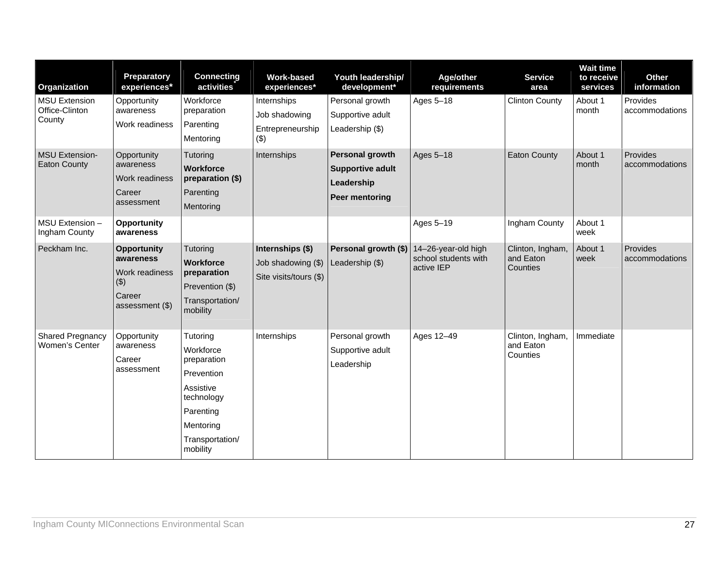| Organization                                     | Preparatory<br>experiences*                                                             | <b>Connecting</b><br>activities                                                                                                        | <b>Work-based</b><br>experiences*                                | Youth leadership/<br>development*                                                 | Age/other<br>requirements                                 | <b>Service</b><br>area                    | <b>Wait time</b><br>to receive<br>services | <b>Other</b><br>information |
|--------------------------------------------------|-----------------------------------------------------------------------------------------|----------------------------------------------------------------------------------------------------------------------------------------|------------------------------------------------------------------|-----------------------------------------------------------------------------------|-----------------------------------------------------------|-------------------------------------------|--------------------------------------------|-----------------------------|
| <b>MSU Extension</b><br>Office-Clinton<br>County | Opportunity<br>awareness<br>Work readiness                                              | Workforce<br>preparation<br>Parenting<br>Mentoring                                                                                     | Internships<br>Job shadowing<br>Entrepreneurship<br>(3)          | Personal growth<br>Supportive adult<br>Leadership (\$)                            | Ages 5-18                                                 | <b>Clinton County</b>                     | About 1<br>month                           | Provides<br>accommodations  |
| <b>MSU Extension-</b><br><b>Eaton County</b>     | Opportunity<br>awareness<br><b>Work readiness</b><br>Career<br>assessment               | Tutoring<br><b>Workforce</b><br>preparation (\$)<br>Parenting<br>Mentoring                                                             | Internships                                                      | <b>Personal growth</b><br><b>Supportive adult</b><br>Leadership<br>Peer mentoring | Ages 5-18                                                 | <b>Eaton County</b>                       | About 1<br>month                           | Provides<br>accommodations  |
| MSU Extension -<br>Ingham County                 | <b>Opportunity</b><br>awareness                                                         |                                                                                                                                        |                                                                  |                                                                                   | Ages 5-19                                                 | Ingham County                             | About 1<br>week                            |                             |
| Peckham Inc.                                     | <b>Opportunity</b><br>awareness<br>Work readiness<br>(3)<br>Career<br>assessment $(\$)$ | Tutoring<br><b>Workforce</b><br>preparation<br>Prevention (\$)<br>Transportation/<br>mobility                                          | Internships (\$)<br>Job shadowing (\$)<br>Site visits/tours (\$) | Personal growth (\$)<br>Leadership (\$)                                           | 14-26-year-old high<br>school students with<br>active IEP | Clinton, Ingham,<br>and Eaton<br>Counties | About 1<br>week                            | Provides<br>accommodations  |
| <b>Shared Pregnancy</b><br>Women's Center        | Opportunity<br>awareness<br>Career<br>assessment                                        | Tutoring<br>Workforce<br>preparation<br>Prevention<br>Assistive<br>technology<br>Parenting<br>Mentoring<br>Transportation/<br>mobility | Internships                                                      | Personal growth<br>Supportive adult<br>Leadership                                 | Ages 12-49                                                | Clinton, Ingham,<br>and Eaton<br>Counties | Immediate                                  |                             |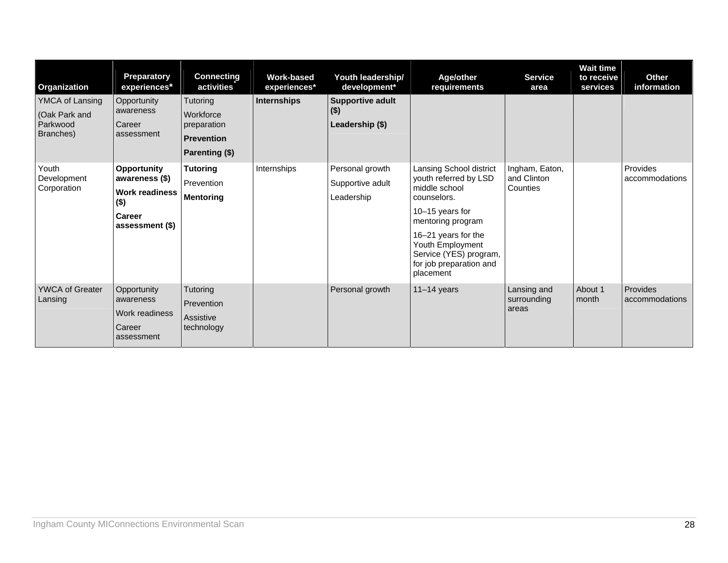| Organization                                              | Preparatory<br>experiences*                                                                           | <b>Connecting</b><br>activities                                             | Work-based<br>experiences* | Youth leadership/<br>development*                     | Age/other<br>requirements                                                                                                                                                                                                             | <b>Service</b><br>area                    | <b>Wait time</b><br>to receive<br>services | <b>Other</b><br>information |
|-----------------------------------------------------------|-------------------------------------------------------------------------------------------------------|-----------------------------------------------------------------------------|----------------------------|-------------------------------------------------------|---------------------------------------------------------------------------------------------------------------------------------------------------------------------------------------------------------------------------------------|-------------------------------------------|--------------------------------------------|-----------------------------|
| YMCA of Lansing<br>(Oak Park and<br>Parkwood<br>Branches) | Opportunity<br>awareness<br>Career<br>assessment                                                      | Tutoring<br>Workforce<br>preparation<br><b>Prevention</b><br>Parenting (\$) | Internships                | <b>Supportive adult</b><br>$($ \$)<br>Leadership (\$) |                                                                                                                                                                                                                                       |                                           |                                            |                             |
| Youth<br>Development<br>Corporation                       | <b>Opportunity</b><br>awareness (\$)<br><b>Work readiness</b><br>$($ \$)<br>Career<br>assessment (\$) | <b>Tutoring</b><br>Prevention<br><b>Mentoring</b>                           | Internships                | Personal growth<br>Supportive adult<br>Leadership     | Lansing School district<br>youth referred by LSD<br>middle school<br>counselors.<br>10-15 years for<br>mentoring program<br>16-21 years for the<br>Youth Employment<br>Service (YES) program,<br>for job preparation and<br>placement | Ingham, Eaton,<br>and Clinton<br>Counties |                                            | Provides<br>accommodations  |
| <b>YWCA of Greater</b><br>Lansing                         | Opportunity<br>awareness<br>Work readiness<br>Career<br>assessment                                    | Tutoring<br>Prevention<br>Assistive<br>technology                           |                            | Personal growth                                       | $11-14$ years                                                                                                                                                                                                                         | Lansing and<br>surrounding<br>areas       | About 1<br>month                           | Provides<br>accommodations  |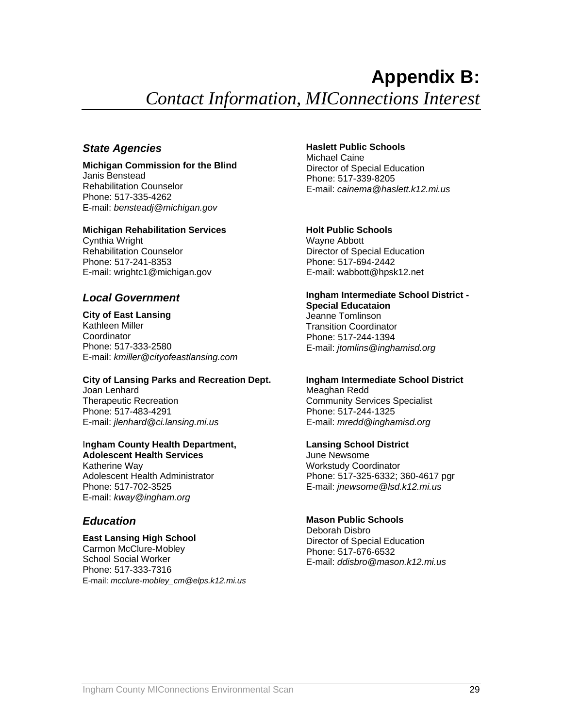# **Appendix B:**

*Contact Information, MIConnections Interest* 

### <span id="page-28-0"></span>*State Agencies*

#### **Michigan Commission for the Blind**  Janis Benstead Rehabilitation Counselor Phone: 517-335-4262 E-mail: *bensteadj@michigan.gov*

### **Michigan Rehabilitation Services**

Cynthia Wright Rehabilitation Counselor Phone: 517-241-8353 E-mail: wrightc1@michigan.gov

### *Local Government*

**City of East Lansing**  Kathleen Miller Coordinator Phone: 517-333-2580 E-mail: *kmiller@cityofeastlansing.com*

### **City of Lansing Parks and Recreation Dept.**

Joan Lenhard Therapeutic Recreation Phone: 517-483-4291 E-mail: *jlenhard@ci.lansing.mi.us*

### I**ngham County Health Department, Adolescent Health Services**

Katherine Way Adolescent Health Administrator Phone: 517-702-3525 E-mail: *kway@ingham.org*

### *Education*

### **East Lansing High School**

Carmon McClure-Mobley School Social Worker Phone: 517-333-7316 E-mail: *[mcclure-mobley\\_cm@elps.k12.mi.us](mailto:mcclure-mobley_cm@elps.k12.mi.us)*

### **Haslett Public Schools**

Michael Caine Director of Special Education Phone: 517-339-8205 E-mail: *cainema@haslett.k12.mi.us*

### **Holt Public Schools**

Wayne Abbott Director of Special Education Phone: 517-694-2442 E-mail: wabbott@hpsk12.net

### **Ingham Intermediate School District - Special Educataion**

Jeanne Tomlinson Transition Coordinator Phone: 517-244-1394 E-mail: *jtomlins@inghamisd.org*

# **Ingham Intermediate School District**

Meaghan Redd Community Services Specialist Phone: 517-244-1325 E-mail: *mredd@inghamisd.org*

#### **Lansing School District**

June Newsome Workstudy Coordinator Phone: 517-325-6332; 360-4617 pgr E-mail: *jnewsome@lsd.k12.mi.us*

### **Mason Public Schools**

Deborah Disbro Director of Special Education Phone: 517-676-6532 E-mail: *ddisbro@mason.k12.mi.us*